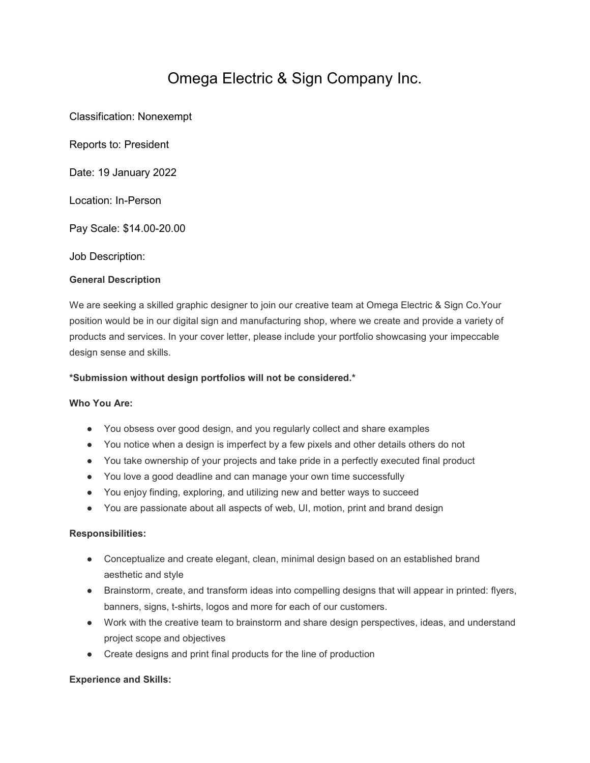# Omega Electric & Sign Company Inc.

Classification: Nonexempt

Reports to: President

Date: 19 January 2022

Location: In-Person

Pay Scale: \$14.00-20.00

Job Description:

## **General Description**

We are seeking a skilled graphic designer to join our creative team at Omega Electric & Sign Co.Your position would be in our digital sign and manufacturing shop, where we create and provide a variety of products and services. In your cover letter, please include your portfolio showcasing your impeccable design sense and skills.

### **\*Submission without design portfolios will not be considered.\***

#### **Who You Are:**

- You obsess over good design, and you regularly collect and share examples
- You notice when a design is imperfect by a few pixels and other details others do not
- You take ownership of your projects and take pride in a perfectly executed final product
- You love a good deadline and can manage your own time successfully
- You enjoy finding, exploring, and utilizing new and better ways to succeed
- You are passionate about all aspects of web, UI, motion, print and brand design

#### **Responsibilities:**

- Conceptualize and create elegant, clean, minimal design based on an established brand aesthetic and style
- Brainstorm, create, and transform ideas into compelling designs that will appear in printed: flyers, banners, signs, t-shirts, logos and more for each of our customers.
- Work with the creative team to brainstorm and share design perspectives, ideas, and understand project scope and objectives
- Create designs and print final products for the line of production

#### **Experience and Skills:**